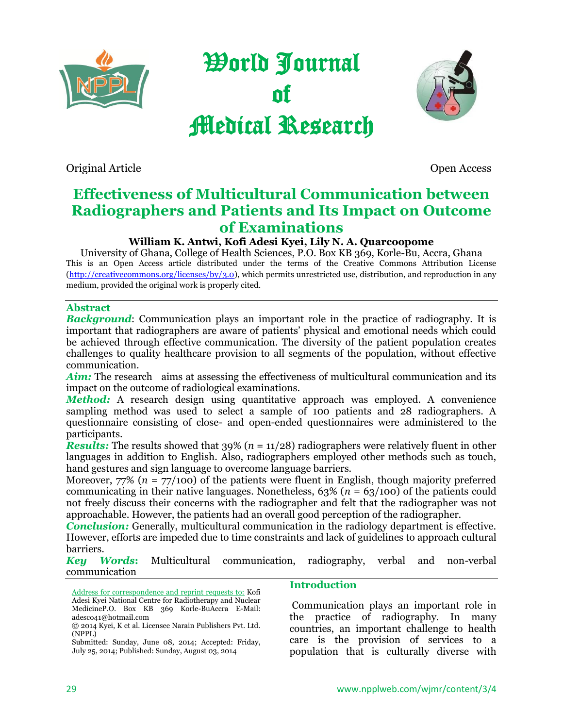

World Journal of Medical Research



Original Article Open Access

# **Effectiveness of Multicultural Communication between Radiographers and Patients and Its Impact on Outcome of Examinations**

## **William K. Antwi, Kofi Adesi Kyei, Lily N. A. Quarcoopome**

University of Ghana, College of Health Sciences, P.O. Box KB 369, Korle-Bu, Accra, Ghana This is an Open Access article distributed under the terms of the Creative Commons Attribution License [\(http://creativecommons.org/licenses/by/3.0\)](http://creativecommons.org/licenses/by/2.0), which permits unrestricted use, distribution, and reproduction in any medium, provided the original work is properly cited.

### **Abstract**

*Background*: Communication plays an important role in the practice of radiography. It is important that radiographers are aware of patients' physical and emotional needs which could be achieved through effective communication. The diversity of the patient population creates challenges to quality healthcare provision to all segments of the population, without effective communication.

Aim: The research aims at assessing the effectiveness of multicultural communication and its impact on the outcome of radiological examinations.

*Method:* A research design using quantitative approach was employed. A convenience sampling method was used to select a sample of 100 patients and 28 radiographers. A questionnaire consisting of close- and open-ended questionnaires were administered to the participants.

*Results:* The results showed that  $39\%$  ( $n = 11/28$ ) radiographers were relatively fluent in other languages in addition to English. Also, radiographers employed other methods such as touch, hand gestures and sign language to overcome language barriers.

Moreover,  $77\%$  ( $n = 77/100$ ) of the patients were fluent in English, though majority preferred communicating in their native languages. Nonetheless,  $63\%$  ( $n = 63/100$ ) of the patients could not freely discuss their concerns with the radiographer and felt that the radiographer was not approachable. However, the patients had an overall good perception of the radiographer.

*Conclusion:* Generally, multicultural communication in the radiology department is effective. However, efforts are impeded due to time constraints and lack of guidelines to approach cultural barriers.

*Key Words***:** Multicultural communication, radiography, verbal and non-verbal communication

Address for correspondence and reprint requests to: Kofi Adesi Kyei National Centre for Radiotherapy and Nuclear MedicineP.O. Box KB 369 Korle-BuAccra E-Mail: adesco41@hotmail.com

Submitted: Sunday, June 08, 2014; Accepted: Friday, July 25, 2014; Published: Sunday, August 03, 2014

#### **Introduction**

Communication plays an important role in the practice of radiography. In many countries, an important challenge to health care is the provision of services to a population that is culturally diverse with

<sup>© 2014</sup> Kyei, K et al. Licensee Narain Publishers Pvt. Ltd. (NPPL)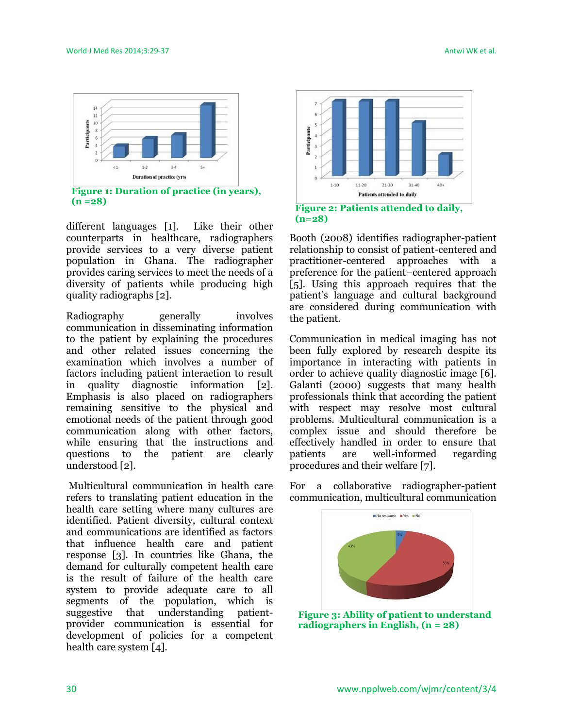

different languages [1]. Like their other counterparts in healthcare, radiographers provide services to a very diverse patient population in Ghana. The radiographer provides caring services to meet the needs of a diversity of patients while producing high quality radiographs [2].

Radiography generally involves communication in disseminating information to the patient by explaining the procedures and other related issues concerning the examination which involves a number of factors including patient interaction to result in quality diagnostic information [2]. Emphasis is also placed on radiographers remaining sensitive to the physical and emotional needs of the patient through good communication along with other factors, while ensuring that the instructions and questions to the patient are clearly understood [2].

Multicultural communication in health care refers to translating patient education in the health care setting where many cultures are identified. Patient diversity, cultural context and communications are identified as factors that influence health care and patient response [3]. In countries like Ghana, the demand for culturally competent health care is the result of failure of the health care system to provide adequate care to all segments of the population, which is suggestive that understanding patientprovider communication is essential for development of policies for a competent health care system [4].



**(n=28)**

Booth (2008) identifies radiographer-patient relationship to consist of patient-centered and practitioner-centered approaches with a preference for the patient–centered approach [5]. Using this approach requires that the patient's language and cultural background are considered during communication with the patient.

Communication in medical imaging has not been fully explored by research despite its importance in interacting with patients in order to achieve quality diagnostic image [6]. Galanti (2000) suggests that many health professionals think that according the patient with respect may resolve most cultural problems. Multicultural communication is a complex issue and should therefore be effectively handled in order to ensure that patients are well-informed regarding procedures and their welfare [7].

For a collaborative radiographer-patient communication, multicultural communication



**Figure 3: Ability of patient to understand radiographers in English, (n = 28)**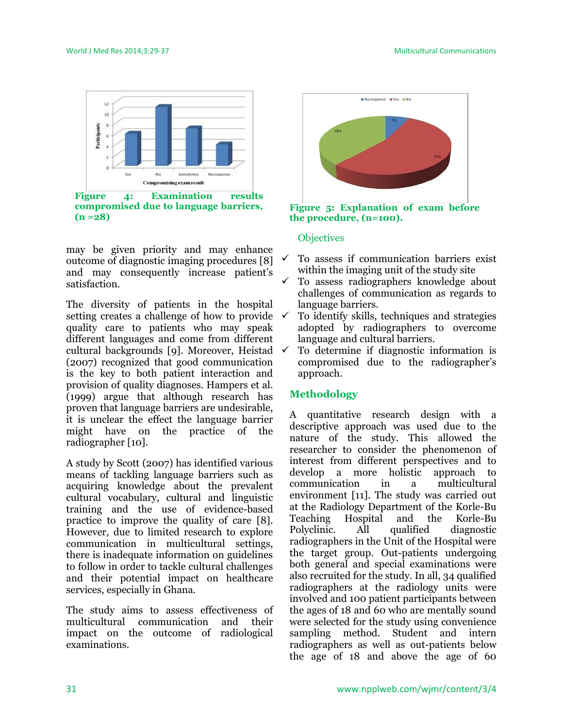

**compromised due to language barriers, (n =28)**

may be given priority and may enhance outcome of diagnostic imaging procedures [8] and may consequently increase patient's satisfaction.

The diversity of patients in the hospital setting creates a challenge of how to provide  $\checkmark$ quality care to patients who may speak different languages and come from different cultural backgrounds [9]. Moreover, Heistad (2007) recognized that good communication is the key to both patient interaction and provision of quality diagnoses. Hampers et al. (1999) argue that although research has proven that language barriers are undesirable, it is unclear the effect the language barrier might have on the practice of the radiographer [10].

A study by Scott (2007) has identified various means of tackling language barriers such as acquiring knowledge about the prevalent cultural vocabulary, cultural and linguistic training and the use of evidence-based practice to improve the quality of care [8]. However, due to limited research to explore communication in multicultural settings, there is inadequate information on guidelines to follow in order to tackle cultural challenges and their potential impact on healthcare services, especially in Ghana.

The study aims to assess effectiveness of multicultural communication and their impact on the outcome of radiological examinations.



**Figure 5: Explanation of exam before the procedure, (n=100).**

### **Objectives**

- To assess if communication barriers exist within the imaging unit of the study site
- $\checkmark$  To assess radiographers knowledge about challenges of communication as regards to language barriers.
- To identify skills, techniques and strategies adopted by radiographers to overcome language and cultural barriers.
- To determine if diagnostic information is compromised due to the radiographer's approach.

### **Methodology**

A quantitative research design with a descriptive approach was used due to the nature of the study. This allowed the researcher to consider the phenomenon of interest from different perspectives and to develop a more holistic approach to communication in a multicultural environment [11]. The study was carried out at the Radiology Department of the Korle-Bu Teaching Hospital and the Korle-Bu Polyclinic. All qualified diagnostic radiographers in the Unit of the Hospital were the target group. Out-patients undergoing both general and special examinations were also recruited for the study. In all, 34 qualified radiographers at the radiology units were involved and 100 patient participants between the ages of 18 and 60 who are mentally sound were selected for the study using convenience sampling method. Student and intern radiographers as well as out-patients below the age of 18 and above the age of 60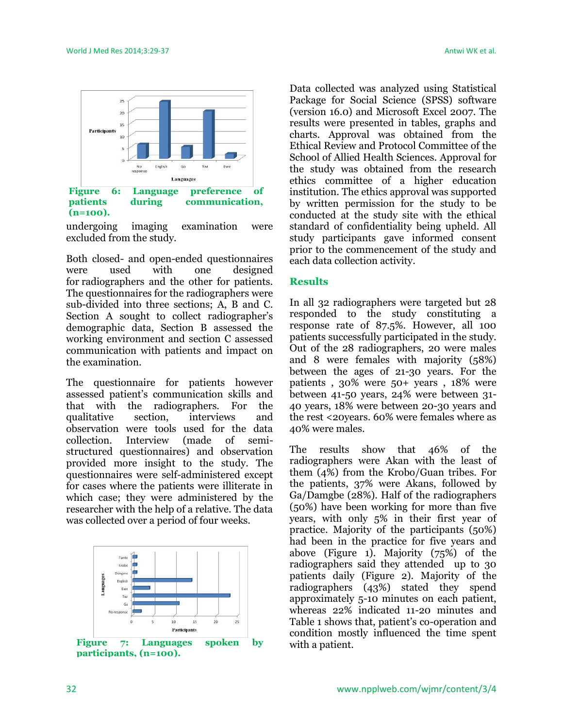

undergoing imaging examination were excluded from the study.

Both closed- and open-ended questionnaires were used with one designed for radiographers and the other for patients. The questionnaires for the radiographers were sub-divided into three sections; A, B and C. Section A sought to collect radiographer's demographic data, Section B assessed the working environment and section C assessed communication with patients and impact on the examination.

The questionnaire for patients however assessed patient's communication skills and that with the radiographers. For the qualitative section, interviews and observation were tools used for the data collection. Interview (made of semistructured questionnaires) and observation provided more insight to the study. The questionnaires were self-administered except for cases where the patients were illiterate in which case; they were administered by the researcher with the help of a relative. The data was collected over a period of four weeks.



**participants, (n=100).**

Data collected was analyzed using Statistical Package for Social Science (SPSS) software (version 16.0) and Microsoft Excel 2007. The results were presented in tables, graphs and charts. Approval was obtained from the Ethical Review and Protocol Committee of the School of Allied Health Sciences. Approval for the study was obtained from the research ethics committee of a higher education institution. The ethics approval was supported by written permission for the study to be conducted at the study site with the ethical standard of confidentiality being upheld. All study participants gave informed consent prior to the commencement of the study and each data collection activity.

#### **Results**

In all 32 radiographers were targeted but 28 responded to the study constituting a response rate of 87.5%. However, all 100 patients successfully participated in the study. Out of the 28 radiographers, 20 were males and 8 were females with majority (58%) between the ages of 21-30 years. For the patients , 30% were 50+ years , 18% were between 41-50 years, 24% were between 31- 40 years, 18% were between 20-30 years and the rest <20years. 60% were females where as 40% were males.

The results show that 46% of the radiographers were Akan with the least of them (4%) from the Krobo/Guan tribes. For the patients, 37% were Akans, followed by Ga/Damgbe (28%). Half of the radiographers (50%) have been working for more than five years, with only 5% in their first year of practice. Majority of the participants (50%) had been in the practice for five years and above (Figure 1). Majority (75%) of the radiographers said they attended up to 30 patients daily (Figure 2). Majority of the radiographers (43%) stated they spend approximately 5-10 minutes on each patient, whereas 22% indicated 11-20 minutes and Table 1 shows that, patient's co-operation and condition mostly influenced the time spent with a patient.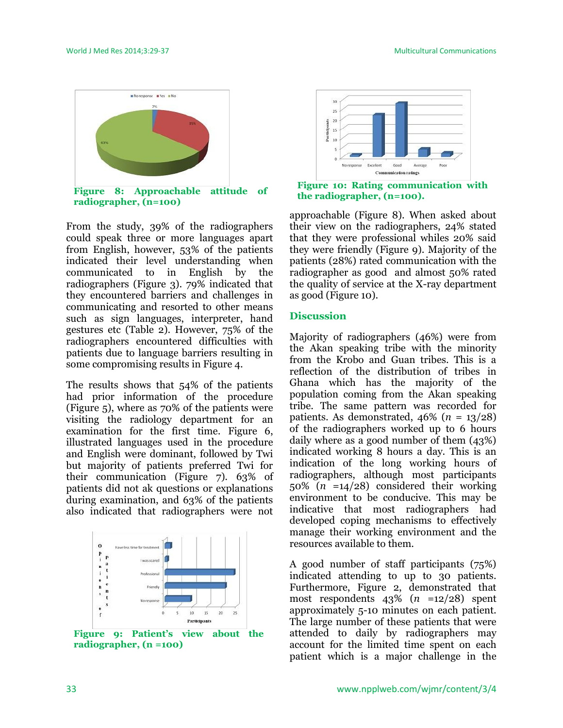

From the study, 39% of the radiographers could speak three or more languages apart from English, however, 53% of the patients indicated their level understanding when communicated to in English by the radiographers (Figure 3). 79% indicated that they encountered barriers and challenges in communicating and resorted to other means such as sign languages, interpreter, hand gestures etc (Table 2). However, 75% of the radiographers encountered difficulties with patients due to language barriers resulting in some compromising results in Figure 4.

The results shows that 54% of the patients had prior information of the procedure (Figure 5), where as 70% of the patients were visiting the radiology department for an examination for the first time. Figure 6, illustrated languages used in the procedure and English were dominant, followed by Twi but majority of patients preferred Twi for their communication (Figure 7). 63% of patients did not ak questions or explanations during examination, and 63% of the patients also indicated that radiographers were not



**Figure 9: Patient's view about the radiographer, (n** *=***100)**



**Figure 10: Rating communication with the radiographer, (n=100).**

approachable (Figure 8). When asked about their view on the radiographers, 24% stated that they were professional whiles 20% said they were friendly (Figure 9). Majority of the patients (28%) rated communication with the radiographer as good and almost 50% rated the quality of service at the X-ray department as good (Figure 10).

### **Discussion**

Majority of radiographers (46%) were from the Akan speaking tribe with the minority from the Krobo and Guan tribes. This is a reflection of the distribution of tribes in Ghana which has the majority of the population coming from the Akan speaking tribe. The same pattern was recorded for patients. As demonstrated,  $46\%$  ( $n = 13/28$ ) of the radiographers worked up to 6 hours daily where as a good number of them (43%) indicated working 8 hours a day. This is an indication of the long working hours of radiographers, although most participants 50% (*n* =14/28) considered their working environment to be conducive. This may be indicative that most radiographers had developed coping mechanisms to effectively manage their working environment and the resources available to them.

A good number of staff participants (75%) indicated attending to up to 30 patients. Furthermore, Figure 2, demonstrated that most respondents 43% (*n* =12/28) spent approximately 5-10 minutes on each patient. The large number of these patients that were attended to daily by radiographers may account for the limited time spent on each patient which is a major challenge in the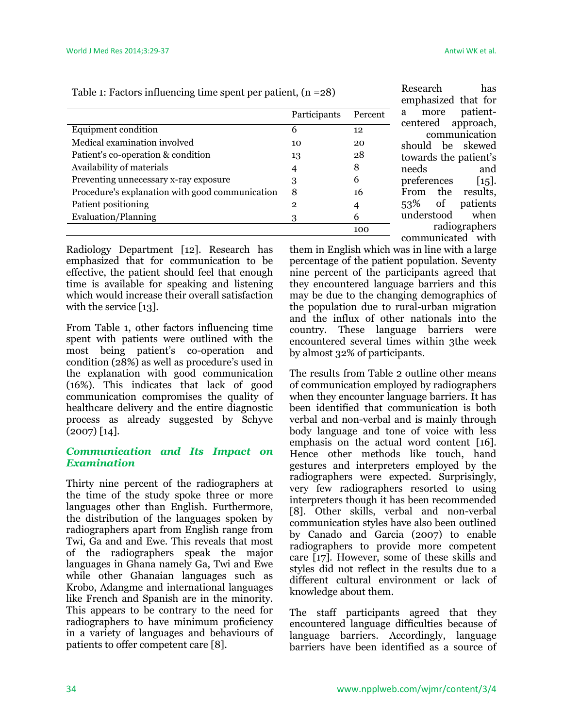radiographers

communicated with

Research has emphasized that for a more patientcentered approach, communication should be skewed towards the patient's needs and preferences [15]. From the results, 53% of patients understood when

|                                                 | Participants | Percent |
|-------------------------------------------------|--------------|---------|
| Equipment condition                             | 6            | 12      |
| Medical examination involved                    | 10           | 20      |
| Patient's co-operation & condition              | 13           | 28      |
| Availability of materials                       | 4            | 8       |
| Preventing unnecessary x-ray exposure           | З            | 6       |
| Procedure's explanation with good communication | 8            | 16      |
| Patient positioning                             | 2            | 4       |
| Evaluation/Planning                             | 3            | 6       |
|                                                 |              | 100     |

Table 1: Factors influencing time spent per patient, (n =28)

Radiology Department [12]. Research has emphasized that for communication to be effective, the patient should feel that enough time is available for speaking and listening which would increase their overall satisfaction with the service [13].

From Table 1, other factors influencing time spent with patients were outlined with the most being patient's co-operation and condition (28%) as well as procedure's used in the explanation with good communication (16%). This indicates that lack of good communication compromises the quality of healthcare delivery and the entire diagnostic process as already suggested by Schyve  $(2007)$  [14].

### *Communication and Its Impact on Examination*

Thirty nine percent of the radiographers at the time of the study spoke three or more languages other than English. Furthermore, the distribution of the languages spoken by radiographers apart from English range from Twi, Ga and and Ewe. This reveals that most of the radiographers speak the major languages in Ghana namely Ga, Twi and Ewe while other Ghanaian languages such as Krobo, Adangme and international languages like French and Spanish are in the minority. This appears to be contrary to the need for radiographers to have minimum proficiency in a variety of languages and behaviours of patients to offer competent care [8].

them in English which was in line with a large percentage of the patient population. Seventy nine percent of the participants agreed that they encountered language barriers and this may be due to the changing demographics of the population due to rural-urban migration and the influx of other nationals into the country. These language barriers were encountered several times within 3the week by almost 32% of participants.

The results from Table 2 outline other means of communication employed by radiographers when they encounter language barriers. It has been identified that communication is both verbal and non-verbal and is mainly through body language and tone of voice with less emphasis on the actual word content [16]. Hence other methods like touch, hand gestures and interpreters employed by the radiographers were expected. Surprisingly, very few radiographers resorted to using interpreters though it has been recommended [8]. Other skills, verbal and non-verbal communication styles have also been outlined by Canado and Garcia (2007) to enable radiographers to provide more competent care [17]. However, some of these skills and styles did not reflect in the results due to a different cultural environment or lack of knowledge about them.

The staff participants agreed that they encountered language difficulties because of language barriers. Accordingly, language barriers have been identified as a source of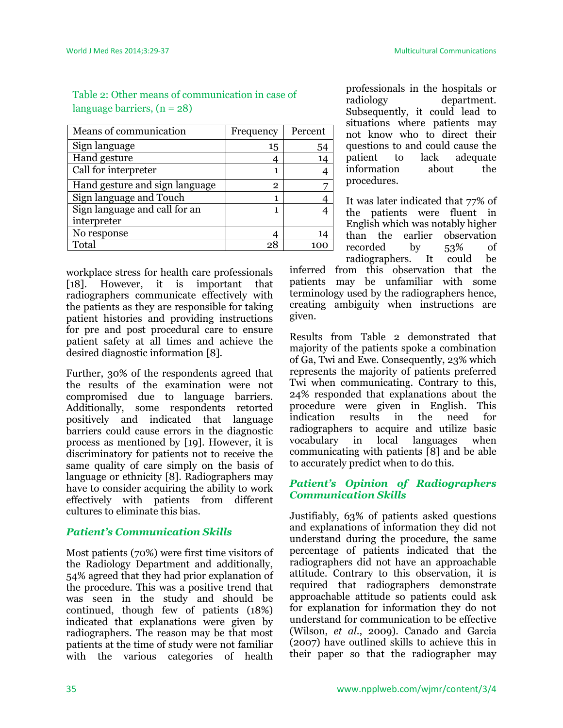| Means of communication         | Frequency | Percent |
|--------------------------------|-----------|---------|
| Sign language                  | 15        | 54      |
| Hand gesture                   |           | 14      |
| Call for interpreter           |           |         |
| Hand gesture and sign language | 2         |         |
| Sign language and Touch        |           |         |
| Sign language and call for an  |           |         |
| interpreter                    |           |         |
| No response                    |           | 14      |
| Total                          | 28        |         |

# Table 2: Other means of communication in case of language barriers,  $(n = 28)$

workplace stress for health care professionals [18]. However, it is important that radiographers communicate effectively with the patients as they are responsible for taking patient histories and providing instructions for pre and post procedural care to ensure patient safety at all times and achieve the desired diagnostic information [8].

Further, 30% of the respondents agreed that the results of the examination were not compromised due to language barriers. Additionally, some respondents retorted positively and indicated that language barriers could cause errors in the diagnostic process as mentioned by [19]. However, it is discriminatory for patients not to receive the same quality of care simply on the basis of language or ethnicity [8]. Radiographers may have to consider acquiring the ability to work effectively with patients from different cultures to eliminate this bias.

# *Patient's Communication Skills*

Most patients (70%) were first time visitors of the Radiology Department and additionally, 54% agreed that they had prior explanation of the procedure. This was a positive trend that was seen in the study and should be continued, though few of patients (18%) indicated that explanations were given by radiographers. The reason may be that most patients at the time of study were not familiar with the various categories of health professionals in the hospitals or radiology department. Subsequently, it could lead to situations where patients may not know who to direct their questions to and could cause the patient to lack adequate information about the procedures.

It was later indicated that 77% of the patients were fluent in English which was notably higher than the earlier observation recorded by 53% of radiographers. It could be

inferred from this observation that the patients may be unfamiliar with some terminology used by the radiographers hence, creating ambiguity when instructions are given.

Results from Table 2 demonstrated that majority of the patients spoke a combination of Ga, Twi and Ewe. Consequently, 23% which represents the majority of patients preferred Twi when communicating. Contrary to this, 24% responded that explanations about the procedure were given in English. This indication results in the need for radiographers to acquire and utilize basic vocabulary in local languages when communicating with patients [8] and be able to accurately predict when to do this.

## *Patient's Opinion of Radiographers Communication Skills*

Justifiably, 63% of patients asked questions and explanations of information they did not understand during the procedure, the same percentage of patients indicated that the radiographers did not have an approachable attitude. Contrary to this observation, it is required that radiographers demonstrate approachable attitude so patients could ask for explanation for information they do not understand for communication to be effective (Wilson, *et al*., 2009). Canado and Garcia (2007) have outlined skills to achieve this in their paper so that the radiographer may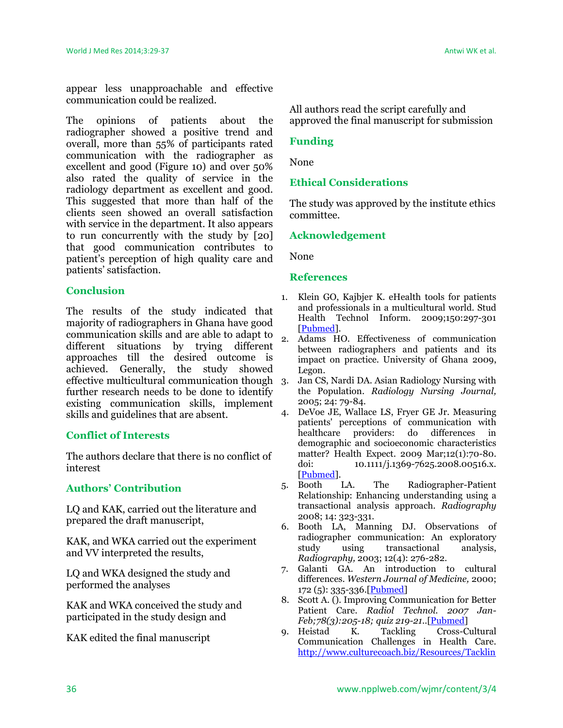appear less unapproachable and effective communication could be realized.

The opinions of patients about the radiographer showed a positive trend and overall, more than 55% of participants rated communication with the radiographer as excellent and good (Figure 10) and over 50% also rated the quality of service in the radiology department as excellent and good. This suggested that more than half of the clients seen showed an overall satisfaction with service in the department. It also appears to run concurrently with the study by [20] that good communication contributes to patient's perception of high quality care and patients' satisfaction.

### **Conclusion**

The results of the study indicated that majority of radiographers in Ghana have good communication skills and are able to adapt to different situations by trying different approaches till the desired outcome is achieved. Generally, the study showed effective multicultural communication though further research needs to be done to identify existing communication skills, implement skills and guidelines that are absent.

### **Conflict of Interests**

The authors declare that there is no conflict of interest

### **Authors' Contribution**

LQ and KAK, carried out the literature and prepared the draft manuscript,

KAK, and WKA carried out the experiment and VV interpreted the results,

LQ and WKA designed the study and performed the analyses

KAK and WKA conceived the study and participated in the study design and

KAK edited the final manuscript

All authors read the script carefully and approved the final manuscript for submission

### **Funding**

None

### **Ethical Considerations**

The study was approved by the institute ethics committee.

### **Acknowledgement**

None

#### **References**

- 1. Klein GO, Kajbjer K. eHealth tools for patients and professionals in a multicultural world. Stud Health Technol Inform. 2009;150:297-301 [\[Pubmed\]](http://www.ncbi.nlm.nih.gov/pubmed/?term=19745317).
- 2. Adams HO. Effectiveness of communication between radiographers and patients and its impact on practice. University of Ghana 2009, Legon.
- 3. Jan CS, Nardi DA. Asian Radiology Nursing with the Population. *Radiology Nursing Journal,*  2005; 24: 79-84.
- 4. DeVoe JE, Wallace LS, Fryer GE Jr. Measuring patients' perceptions of communication with healthcare providers: do differences in demographic and socioeconomic characteristics matter? Health Expect. 2009 Mar;12(1):70-80. doi: 10.1111/j.1369-7625.2008.00516.x. [\[Pubmed\]](http://www.ncbi.nlm.nih.gov/pubmed/?term=19250153).
- 5. Booth LA. The Radiographer-Patient Relationship: Enhancing understanding using a transactional analysis approach. *Radiography* 2008; 14: 323-331.
- 6. Booth LA, Manning DJ. Observations of radiographer communication: An exploratory study using transactional analysis, *Radiography,* 2003; 12(4): 276-282.
- 7. Galanti GA. An introduction to cultural differences. *Western Journal of Medicine,* 2000;  $172 (5): 335 - 336$ . [\[Pubmed\]](http://www.ncbi.nlm.nih.gov/pubmed/?term=10832428)
- 8. Scott A. (). Improving Communication for Better Patient Care. *Radiol Technol. 2007 Jan-Feb;78(3):205-18; quiz 219-21.*.[\[Pubmed\]](http://www.ncbi.nlm.nih.gov/pubmed/?term=17242441)
- 9. Heistad K. Tackling Cross-Cultural Communication Challenges in Health Care. [http://www.culturecoach.biz/Resources/Tacklin](http://www.culturecoach.biz/Resources/Tackling%20Cross%20Cultural%20in%20.pdf)